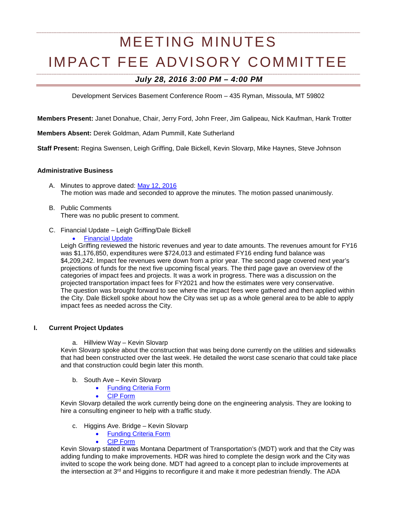# MEETING MINUTES IMPACT FEE ADVISORY COMMITTEE

# *July 28, 2016 3:00 PM – 4:00 PM*

Development Services Basement Conference Room – 435 Ryman, Missoula, MT 59802

**Members Present:** Janet Donahue, Chair, Jerry Ford, John Freer, Jim Galipeau, Nick Kaufman, Hank Trotter

**Members Absent:** Derek Goldman, Adam Pummill, Kate Sutherland

**Staff Present:** Regina Swensen, Leigh Griffing, Dale Bickell, Kevin Slovarp, Mike Haynes, Steve Johnson

#### **Administrative Business**

- A. Minutes to approve dated: [May 12, 2016](http://ci.missoula.mt.us/Archive.aspx?ADID=10282) The motion was made and seconded to approve the minutes. The motion passed unanimously.
- B. Public Comments There was no public present to comment.
- C. Financial Update Leigh Griffing/Dale Bickell
	- **[Financial Update](https://www.ci.missoula.mt.us/DocumentCenter/View/35978)**

Leigh Griffing reviewed the historic revenues and year to date amounts. The revenues amount for FY16 was \$1,176,850, expenditures were \$724,013 and estimated FY16 ending fund balance was \$4,209,242. Impact fee revenues were down from a prior year. The second page covered next year's projections of funds for the next five upcoming fiscal years. The third page gave an overview of the categories of impact fees and projects. It was a work in progress. There was a discussion on the projected transportation impact fees for FY2021 and how the estimates were very conservative. The question was brought forward to see where the impact fees were gathered and then applied within the City. Dale Bickell spoke about how the City was set up as a whole general area to be able to apply impact fees as needed across the City.

## **I. Current Project Updates**

a. Hillview Way – Kevin Slovarp

Kevin Slovarp spoke about the construction that was being done currently on the utilities and sidewalks that had been constructed over the last week. He detailed the worst case scenario that could take place and that construction could begin later this month.

- b. South Ave Kevin Slovarp
	- [Funding Criteria Form](https://www.ci.missoula.mt.us/DocumentCenter/View/33694)
	- [CIP Form](https://www.ci.missoula.mt.us/DocumentCenter/View/33697)

Kevin Slovarp detailed the work currently being done on the engineering analysis. They are looking to hire a consulting engineer to help with a traffic study.

- c. Higgins Ave. Bridge Kevin Slovarp
	- [Funding Criteria Form](https://www.ci.missoula.mt.us/DocumentCenter/View/33691)
	- [CIP Form](https://www.ci.missoula.mt.us/DocumentCenter/View/33695)

Kevin Slovarp stated it was Montana Department of Transportation's (MDT) work and that the City was adding funding to make improvements. HDR was hired to complete the design work and the City was invited to scope the work being done. MDT had agreed to a concept plan to include improvements at the intersection at 3<sup>rd</sup> and Higgins to reconfigure it and make it more pedestrian friendly. The ADA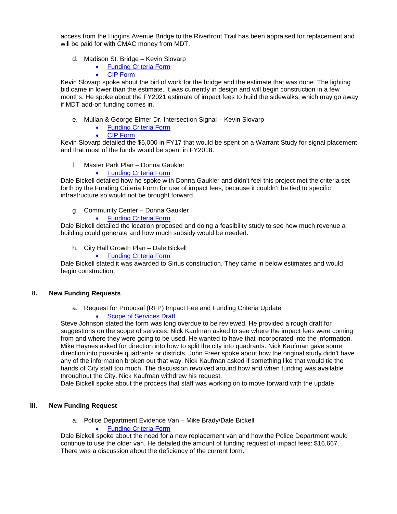access from the Higgins Avenue Bridge to the Riverfront Trail has been appraised for replacement and will be paid for with CMAC money from MDT.

- d. Madison St. Bridge Kevin Slovarp
	- [Funding Criteria Form](https://www.ci.missoula.mt.us/DocumentCenter/View/33693)
	- [CIP Form](https://www.ci.missoula.mt.us/DocumentCenter/View/33696)

Kevin Slovarp spoke about the bid of work for the bridge and the estimate that was done. The lighting bid came in lower than the estimate. It was currently in design and will begin construction in a few months. He spoke about the FY2021 estimate of impact fees to build the sidewalks, which may go away if MDT add-on funding comes in.

- e. Mullan & George Elmer Dr. Intersection Signal Kevin Slovarp
	- **[Funding Criteria Form](https://www.ci.missoula.mt.us/DocumentCenter/View/33725)**
	- [CIP Form](https://www.ci.missoula.mt.us/DocumentCenter/View/33724)

Kevin Slovarp detailed the \$5,000 in FY17 that would be spent on a Warrant Study for signal placement and that most of the funds would be spent in FY2018.

f. Master Park Plan – Donna Gaukler

• [Funding Criteria Form](https://www.ci.missoula.mt.us/DocumentCenter/View/33702)

Dale Bickell detailed how he spoke with Donna Gaukler and didn't feel this project met the criteria set forth by the Funding Criteria Form for use of impact fees, because it couldn't be tied to specific infrastructure so would not be brought forward.

- g. Community Center Donna Gaukler
	- [Funding Criteria Form](https://www.ci.missoula.mt.us/DocumentCenter/View/33701)

Dale Bickell detailed the location proposed and doing a feasibility study to see how much revenue a building could generate and how much subsidy would be needed.

- h. City Hall Growth Plan Dale Bickell
	- [Funding Criteria Form](https://www.ci.missoula.mt.us/DocumentCenter/View/33763)

Dale Bickell stated it was awarded to Sirius construction. They came in below estimates and would begin construction.

#### **II. New Funding Requests**

a. Request for Proposal (RFP) Impact Fee and Funding Criteria Update [Scope of Services Draft](https://www.ci.missoula.mt.us/DocumentCenter/View/35979)

Steve Johnson stated the form was long overdue to be reviewed. He provided a rough draft for suggestions on the scope of services. Nick Kaufman asked to see where the impact fees were coming from and where they were going to be used. He wanted to have that incorporated into the information. Mike Haynes asked for direction into how to split the city into quadrants. Nick Kaufman gave some direction into possible quadrants or districts. John Freer spoke about how the original study didn't have any of the information broken out that way. Nick Kaufman asked if something like that would tie the hands of City staff too much. The discussion revolved around how and when funding was available throughout the City. Nick Kaufman withdrew his request.

Dale Bickell spoke about the process that staff was working on to move forward with the update.

## **III. New Funding Request**

a. Police Department Evidence Van – Mike Brady/Dale Bickell

#### • [Funding Criteria Form](https://www.ci.missoula.mt.us/DocumentCenter/View/35782)

Dale Bickell spoke about the need for a new replacement van and how the Police Department would continue to use the older van. He detailed the amount of funding request of impact fees: \$16,667. There was a discussion about the deficiency of the current form.